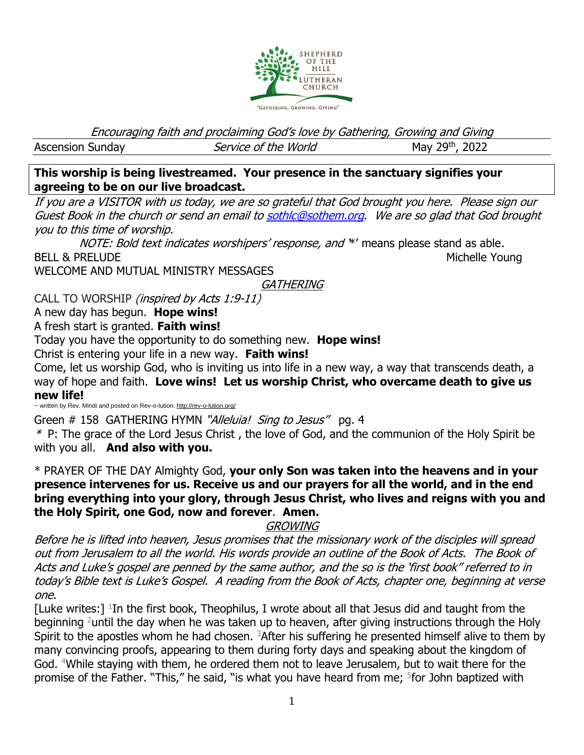

Encouraging faith and proclaiming God's love by Gathering, Growing and Giving

Ascension Sunday Service of the World

May 29th, 2022

**This worship is being livestreamed. Your presence in the sanctuary signifies your agreeing to be on our live broadcast.** 

If you are a VISITOR with us today, we are so grateful that God brought you here. Please sign our Guest Book in the church or send an email t[o sothlc@sothem.org.](mailto:sothlc@sothem.org) We are so glad that God brought you to this time of worship.

NOTE: Bold text indicates worshipers' response, and \*' means please stand as able. BELL & PRELUDE Northern Michelle Young

WELCOME AND MUTUAL MINISTRY MESSAGES

**GATHERING** 

CALL TO WORSHIP (inspired by Acts 1:9-11)

A new day has begun. **Hope wins!**

A fresh start is granted. **Faith wins!**

Today you have the opportunity to do something new. **Hope wins!**

Christ is entering your life in a new way. **Faith wins!**

Come, let us worship God, who is inviting us into life in a new way, a way that transcends death, a way of hope and faith. **Love wins! Let us worship Christ, who overcame death to give us new life!**

~ written by Rev. Mindi and posted on Rev-o-lution. <http://rev-o-lution.org/>

Green # 158 GATHERING HYMN "Alleluia! Sing to Jesus" pg. 4

 $*$  P: The grace of the Lord Jesus Christ, the love of God, and the communion of the Holy Spirit be with you all. **And also with you.**

\* PRAYER OF THE DAY Almighty God, **your only Son was taken into the heavens and in your presence intervenes for us. Receive us and our prayers for all the world, and in the end bring everything into your glory, through Jesus Christ, who lives and reigns with you and the Holy Spirit, one God, now and forever**. **Amen.**

**GROWING** 

Before he is lifted into heaven, Jesus promises that the missionary work of the disciples will spread out from Jerusalem to all the world. His words provide an outline of the Book of Acts. The Book of Acts and Luke's gospel are penned by the same author, and the so is the 'first book" referred to in today's Bible text is Luke's Gospel. A reading from the Book of Acts, chapter one, beginning at verse one.

[Luke writes:]  $1$ In the first book, Theophilus, I wrote about all that Jesus did and taught from the beginning <sup>2</sup>until the day when he was taken up to heaven, after giving instructions through the Holy Spirit to the apostles whom he had chosen. <sup>3</sup>After his suffering he presented himself alive to them by many convincing proofs, appearing to them during forty days and speaking about the kingdom of God. <sup>4</sup>While staying with them, he ordered them not to leave Jerusalem, but to wait there for the promise of the Father. "This," he said, "is what you have heard from me; <sup>5</sup>for John baptized with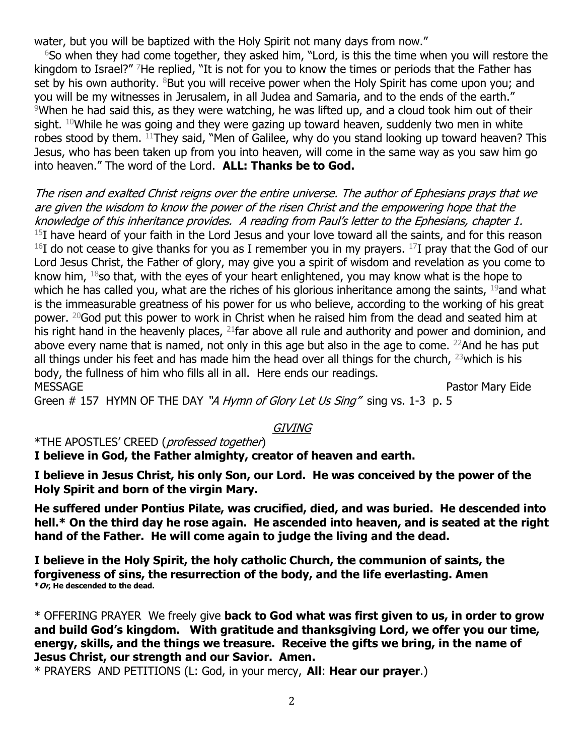water, but you will be baptized with the Holy Spirit not many days from now."

 $6$ So when they had come together, they asked him, "Lord, is this the time when you will restore the kingdom to Israel?" <sup>7</sup>He replied, "It is not for you to know the times or periods that the Father has set by his own authority.  $8$ But you will receive power when the Holy Spirit has come upon you; and you will be my witnesses in Jerusalem, in all Judea and Samaria, and to the ends of the earth."  $9$ When he had said this, as they were watching, he was lifted up, and a cloud took him out of their sight.  $10$ While he was going and they were gazing up toward heaven, suddenly two men in white robes stood by them. <sup>11</sup>They said, "Men of Galilee, why do you stand looking up toward heaven? This Jesus, who has been taken up from you into heaven, will come in the same way as you saw him go into heaven." The word of the Lord. **ALL: Thanks be to God.**

The risen and exalted Christ reigns over the entire universe. The author of Ephesians prays that we are given the wisdom to know the power of the risen Christ and the empowering hope that the knowledge of this inheritance provides. A reading from Paul's letter to the Ephesians, chapter 1.  $^{15}$ I have heard of your faith in the Lord Jesus and your love toward all the saints, and for this reason  $16I$  do not cease to give thanks for you as I remember you in my prayers.  $17I$  pray that the God of our Lord Jesus Christ, the Father of glory, may give you a spirit of wisdom and revelation as you come to know him,  $18$ so that, with the eyes of your heart enlightened, you may know what is the hope to which he has called you, what are the riches of his glorious inheritance among the saints, <sup>19</sup>and what is the immeasurable greatness of his power for us who believe, according to the working of his great power. <sup>20</sup>God put this power to work in Christ when he raised him from the dead and seated him at his right hand in the heavenly places, <sup>21</sup>far above all rule and authority and power and dominion, and above every name that is named, not only in this age but also in the age to come. <sup>22</sup>And he has put all things under his feet and has made him the head over all things for the church,  $^{23}$  which is his body, the fullness of him who fills all in all. Here ends our readings. MESSAGE Pastor Mary Eide

Green # 157 HYMN OF THE DAY "A Hymn of Glory Let Us Sing" sing vs. 1-3 p. 5

## **GIVING**

\*THE APOSTLES' CREED (professed together)

**I believe in God, the Father almighty, creator of heaven and earth.**

**I believe in Jesus Christ, his only Son, our Lord. He was conceived by the power of the Holy Spirit and born of the virgin Mary.**

**He suffered under Pontius Pilate, was crucified, died, and was buried. He descended into hell.\* On the third day he rose again. He ascended into heaven, and is seated at the right hand of the Father. He will come again to judge the living and the dead.**

**I believe in the Holy Spirit, the holy catholic Church, the communion of saints, the forgiveness of sins, the resurrection of the body, and the life everlasting. Amen \*Or, He descended to the dead.**

\* OFFERING PRAYER We freely give **back to God what was first given to us, in order to grow and build God's kingdom. With gratitude and thanksgiving Lord, we offer you our time, energy, skills, and the things we treasure. Receive the gifts we bring, in the name of Jesus Christ, our strength and our Savior. Amen.** 

\* PRAYERS AND PETITIONS (L: God, in your mercy, **All**: **Hear our prayer**.)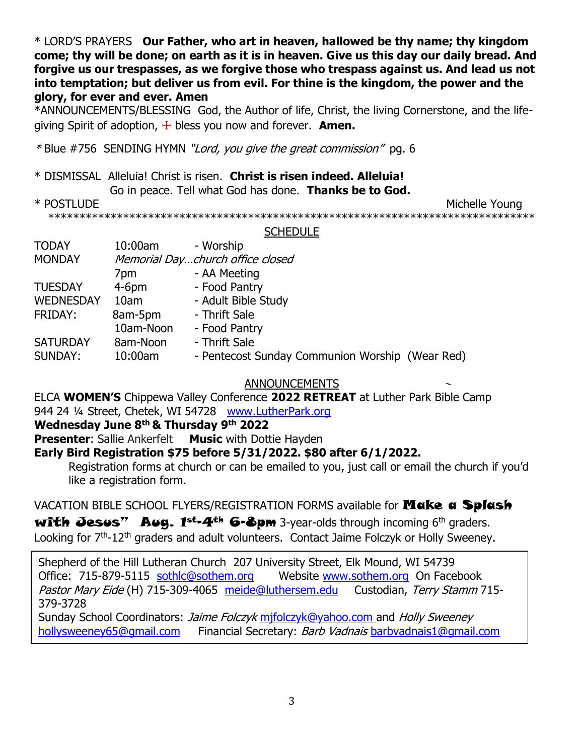\* LORD'S PRAYERS **Our Father, who art in heaven, hallowed be thy name; thy kingdom come; thy will be done; on earth as it is in heaven. Give us this day our daily bread. And forgive us our trespasses, as we forgive those who trespass against us. And lead us not into temptation; but deliver us from evil. For thine is the kingdom, the power and the glory, for ever and ever. Amen**

\*ANNOUNCEMENTS/BLESSING God, the Author of life, Christ, the living Cornerstone, and the lifegiving Spirit of adoption, ☩ bless you now and forever. **Amen.**

\* Blue #756 SENDING HYMN "Lord, you give the great commission" pg. 6

\* DISMISSAL Alleluia! Christ is risen. **Christ is risen indeed. Alleluia!**

Go in peace. Tell what God has done. **Thanks be to God.**

\* POSTLUDE Michelle Young

\*\*\*\*\*\*\*\*\*\*\*\*\*\*\*\*\*\*\*\*\*\*\*\*\*\*\*\*\*\*\*\*\*\*\*\*\*\*\*\*\*\*\*\*\*\*\*\*\*\*\*\*\*\*\*\*\*\*\*\*\*\*\*\*\*\*\*\*\*\*\*\*\*\*\*\*\*\*

**SCHEDULE** 

| <b>TODAY</b>     | $10:00$ am | - Worship                                       |  |  |  |  |  |
|------------------|------------|-------------------------------------------------|--|--|--|--|--|
| <b>MONDAY</b>    |            | Memorial Daychurch office closed                |  |  |  |  |  |
|                  | 7pm        | - AA Meeting                                    |  |  |  |  |  |
| <b>TUESDAY</b>   | $4-6$ pm   | - Food Pantry                                   |  |  |  |  |  |
| <b>WEDNESDAY</b> | 10am       | - Adult Bible Study                             |  |  |  |  |  |
| FRIDAY:          | 8am-5pm    | - Thrift Sale                                   |  |  |  |  |  |
|                  | 10am-Noon  | - Food Pantry                                   |  |  |  |  |  |
| <b>SATURDAY</b>  | 8am-Noon   | - Thrift Sale                                   |  |  |  |  |  |
| SUNDAY:          | 10:00am    | - Pentecost Sunday Communion Worship (Wear Red) |  |  |  |  |  |

#### ANNOUNCEMENTS

ELCA **WOMEN'S** Chippewa Valley Conference **2022 RETREAT** at Luther Park Bible Camp 944 24 ¼ Street, Chetek, WI 54728 [www.LutherPark.org](http://www.lutherpark.org/)

**Wednesday June 8th & Thursday 9th 2022**

**Presenter:** Sallie Ankerfelt Music with Dottie Hayden

### **Early Bird Registration \$75 before 5/31/2022. \$80 after 6/1/2022.**

Registration forms at church or can be emailed to you, just call or email the church if you'd like a registration form.

VACATION BIBLE SCHOOL FLYERS/REGISTRATION FORMS available for **Make a Splash** 

with Jesus" Aug.  $1^{st-4^{th}}$  6-8pm 3-year-olds through incoming 6<sup>th</sup> graders. Looking for 7<sup>th</sup>-12<sup>th</sup> graders and adult volunteers. Contact Jaime Folczyk or Holly Sweeney.

Shepherd of the Hill Lutheran Church 207 University Street, Elk Mound, WI 54739 Office: 715-879-5115 [sothlc@sothem.org](mailto:sothlc@sothem.org) Website [www.sothem.org](http://www.sothem.org/) On Facebook Pastor Mary Eide (H) 715-309-4065 [meide@luthersem.edu](mailto:meide@luthersem.edu) Custodian, Terry Stamm 715-379-3728 Sunday School Coordinators: Jaime Folczyk mifolczyk@yahoo.com and Holly Sweeney

[hollysweeney65@gmail.com](mailto:hollysweeney65@gmail.com) Financial Secretary: *Barb Vadnais* barbyadnais1@gmail.com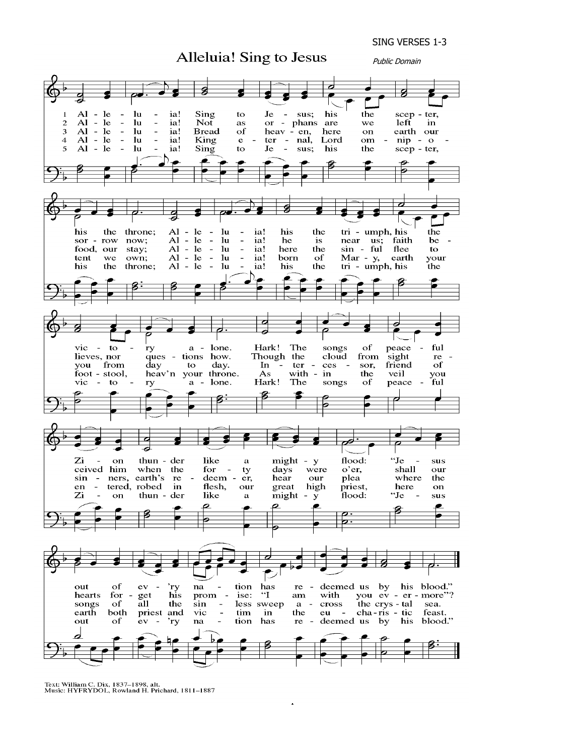SING VERSES 1-3



4

Text: William C. Dix, 1837-1898, alt.<br>Music: HYFRYDOL, Rowland H. Prichard, 1811-1887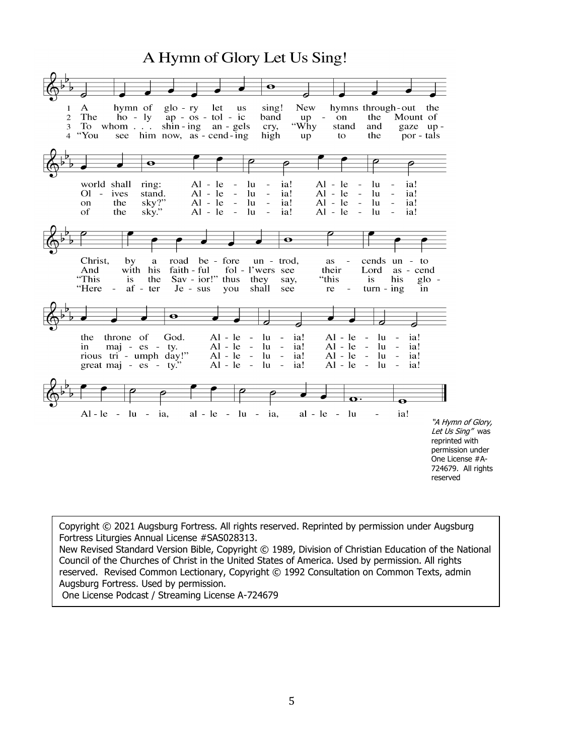# A Hymn of Glory Let Us Sing!

|                          |                                                                           |                                                                   |                                                                         | $\mathbf \bullet$                                                                                                                      |                                    |                                                                                                                    |                                                               |                                                                                                                                  |
|--------------------------|---------------------------------------------------------------------------|-------------------------------------------------------------------|-------------------------------------------------------------------------|----------------------------------------------------------------------------------------------------------------------------------------|------------------------------------|--------------------------------------------------------------------------------------------------------------------|---------------------------------------------------------------|----------------------------------------------------------------------------------------------------------------------------------|
| 1<br>$\overline{2}$<br>3 | A<br>The<br>To whom<br>4 "You                                             | hymn of<br>$g$ lo - ry<br>$ho - ly$<br>see him now, as - cend-ing | let<br>$ap - os - tol - ic$<br>$\sin - \text{ing}$ an - gels            | sing!<br><b>us</b><br>band<br>cry,<br>high                                                                                             | <b>New</b><br>$up -$<br>"Why<br>up | hymns through-out<br>on<br>stand<br>to                                                                             | the<br>and<br>the                                             | the<br>Mount of<br>gaze up-<br>por - tals                                                                                        |
|                          |                                                                           | $\bullet$                                                         |                                                                         |                                                                                                                                        |                                    |                                                                                                                    |                                                               |                                                                                                                                  |
|                          | world shall<br>$O1 -$<br>ives<br>the<br>on<br><sub>of</sub><br>the        | ring:<br>stand.<br>sky?"<br>sky."                                 | $Al - le$<br>$Al - le$<br>$Al - le$<br>$Al - le$<br>$\sim$ $-$          | lu<br>lu<br>$\equiv$<br>$\overline{\phantom{a}}$<br>lu<br>$\bar{\phantom{a}}$<br>$\overline{\phantom{a}}$<br>lu<br>$\bar{\phantom{a}}$ | ia!<br>ia!<br>ia!<br>ia!           | $Al - le$<br>$Al - le$<br>$\overline{\phantom{a}}$<br>$Al - le$<br>$\overline{\phantom{a}}$<br>$Al - le$<br>$\sim$ | -lu<br>lu<br>$\overline{\phantom{a}}$<br>lu<br>lu<br>$\equiv$ | ia!<br>ia!<br>ia!<br>ia!                                                                                                         |
|                          |                                                                           |                                                                   |                                                                         |                                                                                                                                        | $\bullet$                          |                                                                                                                    |                                                               |                                                                                                                                  |
|                          | Christ,<br>by<br>And<br>"This<br>is<br>"Here<br>$\sim 10^{-11}$           | $\mathbf{a}$<br>with his<br>the<br>$af - ter$                     | road be - fore<br>faith - ful<br>$Sav - ior$ !" thus<br>Je - sus<br>you | $un - trod$<br>fol - l'wers see<br>they<br>shall                                                                                       | say,<br>see                        | as a<br>$\overline{\phantom{a}}$<br>their<br>"this<br>re<br>$\equiv$                                               | cends un - to<br>Lord<br>is<br>his<br>$turn - ing$            | as - cend<br>$g$ lo -<br>in                                                                                                      |
|                          |                                                                           | $\bullet$                                                         |                                                                         |                                                                                                                                        |                                    |                                                                                                                    |                                                               |                                                                                                                                  |
|                          | throne of<br>the<br>in<br>rious tri - umph day!"<br>great maj - es - ty." | God.<br>maj - es - ty.                                            | $Al - le -$<br>$Al - le -$<br>$Al - le -$<br>$Al - le -$                | lu<br>$\sim$<br>- lu -<br>$lu -$<br>lu<br>$\sim$ $-$                                                                                   | ia!<br>ia!<br>ia!<br>ia!           | $Al - le$<br>$\sim$ $-$<br>$Al - le -$<br>$Al - le -$<br>$Al - le -$                                               | lu<br>lu<br>$\sim$<br>$\ln$<br>$\sim$<br>lu<br>$\sim$         | ia!<br>ia!<br>ia!<br>ia!                                                                                                         |
|                          |                                                                           |                                                                   |                                                                         |                                                                                                                                        |                                    | $\mathbf{o} \cdot$                                                                                                 | $\bullet$                                                     |                                                                                                                                  |
|                          | $Al - le - lu - ia$ ,                                                     |                                                                   | $al - le - lu - ia$ ,                                                   |                                                                                                                                        |                                    | $al - le - lu$                                                                                                     | ia!                                                           | "A Hymn of Glory,<br>Let Us Sing" was<br>reprinted with<br>permission under<br>One License #A-<br>724679. All rights<br>reserved |

Copyright © 2021 Augsburg Fortress. All rights reserved. Reprinted by permission under Augsburg Fortress Liturgies Annual License #SAS028313.

New Revised Standard Version Bible, Copyright © 1989, Division of Christian Education of the National Council of the Churches of Christ in the United States of America. Used by permission. All rights reserved. Revised Common Lectionary, Copyright © 1992 Consultation on Common Texts, admin Augsburg Fortress. Used by permission.

One License Podcast / Streaming License A-724679